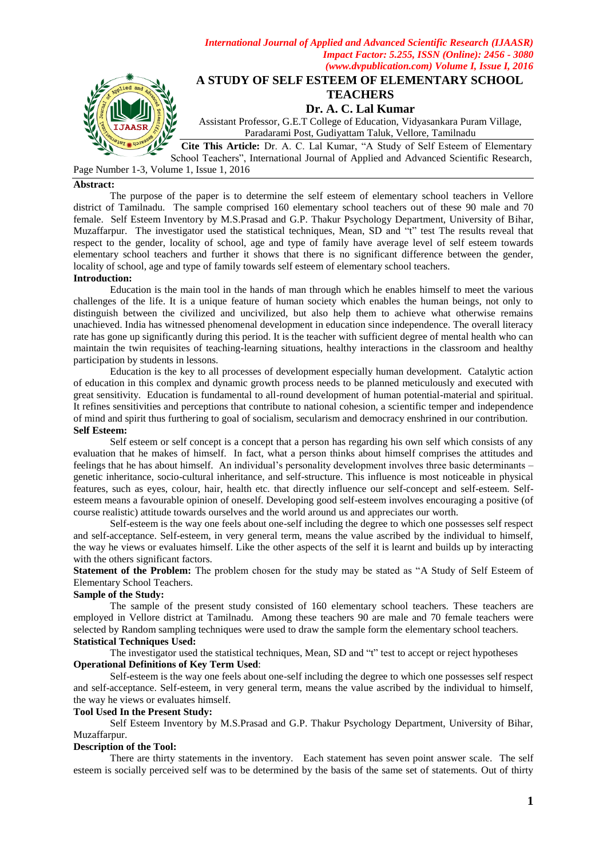

School Teachers", International Journal of Applied and Advanced Scientific Research,

*International Journal of Applied and Advanced Scientific Research (IJAASR)*

Page Number 1-3, Volume 1, Issue 1, 2016

### **Abstract:**

The purpose of the paper is to determine the self esteem of elementary school teachers in Vellore district of Tamilnadu. The sample comprised 160 elementary school teachers out of these 90 male and 70 female. Self Esteem Inventory by M.S.Prasad and G.P. Thakur Psychology Department, University of Bihar, Muzaffarpur. The investigator used the statistical techniques, Mean, SD and "t" test The results reveal that respect to the gender, locality of school, age and type of family have average level of self esteem towards elementary school teachers and further it shows that there is no significant difference between the gender, locality of school, age and type of family towards self esteem of elementary school teachers. **Introduction:**

Education is the main tool in the hands of man through which he enables himself to meet the various challenges of the life. It is a unique feature of human society which enables the human beings, not only to distinguish between the civilized and uncivilized, but also help them to achieve what otherwise remains unachieved. India has witnessed phenomenal development in education since independence. The overall literacy rate has gone up significantly during this period. It is the teacher with sufficient degree of mental health who can maintain the twin requisites of teaching-learning situations, healthy interactions in the classroom and healthy

participation by students in lessons.

Education is the key to all processes of development especially human development. Catalytic action of education in this complex and dynamic growth process needs to be planned meticulously and executed with great sensitivity. Education is fundamental to all-round development of human potential-material and spiritual. It refines sensitivities and perceptions that contribute to national cohesion, a scientific temper and independence of mind and spirit thus furthering to goal of socialism, secularism and democracy enshrined in our contribution. **Self Esteem:**

Self esteem or self concept is a concept that a person has regarding his own self which consists of any evaluation that he makes of himself. In fact, what a person thinks about himself comprises the attitudes and feelings that he has about himself. An individual"s personality development involves three basic determinants – genetic inheritance, socio-cultural inheritance, and self-structure. This influence is most noticeable in physical features, such as eyes, colour, hair, health etc. that directly influence our self-concept and self-esteem. Selfesteem means a favourable opinion of oneself. Developing good self-esteem involves encouraging a positive (of course realistic) attitude towards ourselves and the world around us and appreciates our worth.

Self-esteem is the way one feels about one-self including the degree to which one possesses self respect and self-acceptance. Self-esteem, in very general term, means the value ascribed by the individual to himself, the way he views or evaluates himself. Like the other aspects of the self it is learnt and builds up by interacting with the others significant factors.

**Statement of the Problem:** The problem chosen for the study may be stated as "A Study of Self Esteem of Elementary School Teachers.

### **Sample of the Study:**

The sample of the present study consisted of 160 elementary school teachers. These teachers are employed in Vellore district at Tamilnadu. Among these teachers 90 are male and 70 female teachers were selected by Random sampling techniques were used to draw the sample form the elementary school teachers. **Statistical Techniques Used:**

The investigator used the statistical techniques, Mean, SD and "t" test to accept or reject hypotheses **Operational Definitions of Key Term Used**:

Self-esteem is the way one feels about one-self including the degree to which one possesses self respect and self-acceptance. Self-esteem, in very general term, means the value ascribed by the individual to himself, the way he views or evaluates himself.

#### **Tool Used In the Present Study:**

Self Esteem Inventory by M.S.Prasad and G.P. Thakur Psychology Department, University of Bihar, Muzaffarpur.

## **Description of the Tool:**

There are thirty statements in the inventory. Each statement has seven point answer scale. The self esteem is socially perceived self was to be determined by the basis of the same set of statements. Out of thirty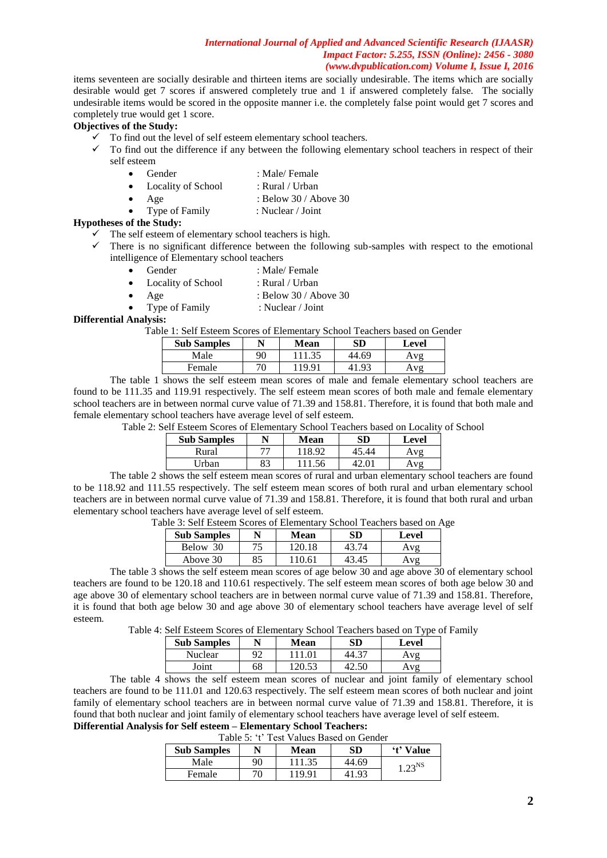### *International Journal of Applied and Advanced Scientific Research (IJAASR) Impact Factor: 5.255, ISSN (Online): 2456 - 3080 (www.dvpublication.com) Volume I, Issue I, 2016*

items seventeen are socially desirable and thirteen items are socially undesirable. The items which are socially desirable would get 7 scores if answered completely true and 1 if answered completely false. The socially undesirable items would be scored in the opposite manner i.e. the completely false point would get 7 scores and completely true would get 1 score.

# **Objectives of the Study:**

- $\checkmark$  To find out the level of self esteem elementary school teachers.
- $\checkmark$  To find out the difference if any between the following elementary school teachers in respect of their self esteem
	- Gender : Male/ Female
	- Locality of School : Rural / Urban
	- Age : Below 30 / Above 30
		- Type of Family : Nuclear / Joint

### **Hypotheses of the Study:**

- $\checkmark$  The self esteem of elementary school teachers is high.
- There is no significant difference between the following sub-samples with respect to the emotional intelligence of Elementary school teachers
	- Gender : Male/ Female
	- Locality of School : Rural / Urban
		- Age : Below 30 / Above 30
			- Type of Family : Nuclear / Joint

**Differential Analysis:**

Table 1: Self Esteem Scores of Elementary School Teachers based on Gender

| <b>Sub Samples</b> | N  | Mean | SD         | Level |
|--------------------|----|------|------------|-------|
| Male               | 90 | 35   | 44.69      | . v o |
| Female             | 70 | 100  | $\Omega^2$ | vo    |

The table 1 shows the self esteem mean scores of male and female elementary school teachers are found to be 111.35 and 119.91 respectively. The self esteem mean scores of both male and female elementary school teachers are in between normal curve value of 71.39 and 158.81. Therefore, it is found that both male and female elementary school teachers have average level of self esteem.

Table 2: Self Esteem Scores of Elementary School Teachers based on Locality of School

| <b>Sub Samples</b> |    | <b>Mean</b> | SD    | Level |
|--------------------|----|-------------|-------|-------|
| Rural              | 77 | 18.92       | 45.44 | Aνσ   |
| Urban              | 83 | 11.56       | 42.01 | Aνσ   |
|                    |    |             |       |       |

The table 2 shows the self esteem mean scores of rural and urban elementary school teachers are found to be 118.92 and 111.55 respectively. The self esteem mean scores of both rural and urban elementary school teachers are in between normal curve value of 71.39 and 158.81. Therefore, it is found that both rural and urban elementary school teachers have average level of self esteem.

| <b>Sub Samples</b> |    | Mean   | SD    | Level        |
|--------------------|----|--------|-------|--------------|
| Below 30           |    | 120.   |       | $\mathbf{v}$ |
| Above 30           | 85 | 110.61 | 43.45 | $\mathbf{v}$ |

Table 3: Self Esteem Scores of Elementary School Teachers based on Age

The table 3 shows the self esteem mean scores of age below 30 and age above 30 of elementary school teachers are found to be 120.18 and 110.61 respectively. The self esteem mean scores of both age below 30 and age above 30 of elementary school teachers are in between normal curve value of 71.39 and 158.81. Therefore, it is found that both age below 30 and age above 30 of elementary school teachers have average level of self esteem.

Table 4: Self Esteem Scores of Elementary School Teachers based on Type of Family

| <b>Sub Samples</b> |    | <b>Mean</b> | Level        |
|--------------------|----|-------------|--------------|
| Nuclear            | Q٥ |             | $\mathbf{u}$ |
| Joint              | 68 |             |              |

The table 4 shows the self esteem mean scores of nuclear and joint family of elementary school teachers are found to be 111.01 and 120.63 respectively. The self esteem mean scores of both nuclear and joint family of elementary school teachers are in between normal curve value of 71.39 and 158.81. Therefore, it is found that both nuclear and joint family of elementary school teachers have average level of self esteem. **Differential Analysis for Self esteem – Elementary School Teachers:**

Table 5: 't' Test Values Based on Gender

| raoiv J.<br>Test Vanics Dasca on Ochaci |    |             |       |             |  |
|-----------------------------------------|----|-------------|-------|-------------|--|
| <b>Sub Samples</b>                      |    | <b>Mean</b> | SD    | 't' Value   |  |
| Male                                    | 90 | 111.35      | 44.69 | $1.23^{NS}$ |  |
| Female                                  | 70 | 19.91       | 41.93 |             |  |